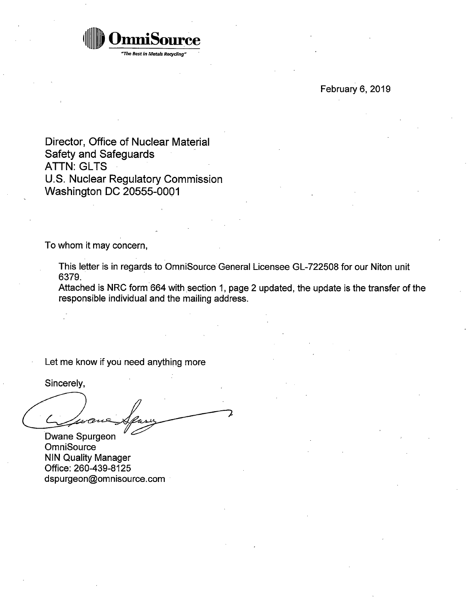

February 6, 2019

Director, Office of Nuclear Material Safety and Safeguards **ATTN: GLTS** U.S. Nuclear Regulatory Commission Washington DC 20555-0001

To whom it may concern,

This letter is in regards to OmniSource General Licensee GL-722508 for our Niton unit 6379.

Attached is NRC form.664 with section 1, page 2 updated, the update is the transfer of the responsible individual and the mailing address.

Let me know if you need anything more

Sincerely,

Dwane Spurgeon **OmniSource** NIN Quality Manager Office: 260-439-8125 dspurgeon@omnisource.com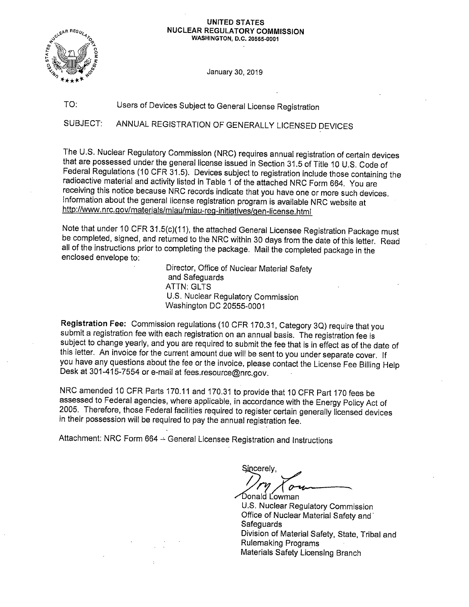#### **UNITED STATES NUCLEAR REGULATORY COMMISSION WASHINGTON, D.C. 20555-0001**



January 30, 2019

# TO: Users of Devices Subject to General License Registration

SUBJECT: ANNUAL REGISTRATION OF GENERALLY LICENSED DEVICES

The U.S. Nuclear Regulatory Commission (NRC) requires annual registration of certain devices that are possessed under the general license issued in Section 31.5 of Title 10 U.S. Code of Federal Regulations (10 CFR 31.5). Devices subject to registration include those containing the radioactive material and activity listed in Table 1 of the attached NRC Form 664. You are receiving this notice because NRC records indicate that you have one or more such devices. Information about the general license registration program is available NRC website at http://www.nrc.gov/materials/miau/miau-reg-initiatives/gen-license.html

Note that under 10 CFR 31.5(c)(11 ), the attached General Licensee Registration Package must be completed, signed, and returned to the NRC within 30 days from the date of this letter. Read all of the instructions prior to completing the package. Mail the completed package in the enclosed envelope to:

> Director, Office of Nuclear Material Safety and Safeguards **ATTN: GLTS** U.S. Nuclear Regulatory Commission Washington DC 20555-0001

**Registration Fee:** Commission regulations (10 CFR 170.31, Category 3Q) require that you submit a registration fee with each registration on an annual basis. The registration fee is subject to change yearly, and you are required to submit the fee that is in effect as of the date of this letter. An invoice for the current amount due will be sent to you under separate cover. If you have any questions about the fee or the invoice, please contact the License Fee Billing Help Desk at 301-415-7554 or e-mail at fees.resource@nrc.gov.

NRC amended 10 CFR Parts 170.11 and 170.31 to provide that 10 CFR Part 170 fees be assessed to Federal agencies, where applicable, in accordance with the Energy Policy Act of 2005. Therefore, those Federal facilities required to register certain generally licensed devices in their possession will be required to pay the annual registration fee.

Attachment: NRC Form 664 -- General Licensee Registration and Instructions

Sincerely,

Donald L<sup>owman</sup> U.S. Nuclear Regulatory Commission Office of Nuclear Material Safety and· **Safeguards** Division of Material Safety, State, Tribal and Rulemaking Programs Materials Safety Licensing Branch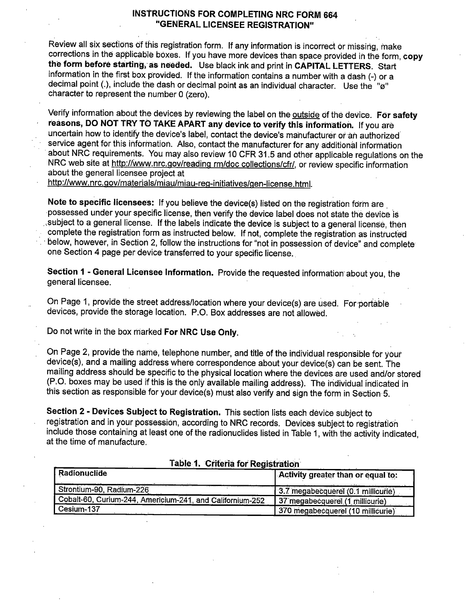## INSTRUCTIONS FOR COMPLETING NRC FORM 664 "GENERAL LICENSEE REGISTRATION"

Review all six sections of this registration form. If any information is incorrect or missing, make corrections in the applicable boxes. If you have more devices than space provided in the form, copy the form before starting; as needed. Use black ink and print in CAPITAL LETTERS. Start information in the first box provided. If the information contains a number with a dash (-) or <sup>a</sup> decimal point (.), include the dash or decimal point as an individual character. Use the " $\ddot{\omega}$ " character to represent the number O (zero).

Verify information about the devices by reviewing the label on the outside of the device. **For safety reasons, DO NOT TRY TO TAKE APART any device to verify this information.** If you are uncertain how to identify the device's label, contact the device's manufacturer or an authorized service agent for this information. Also, contact the manufacturer for any additional information about NRC requirements. You may also review 10 CFR 31.5 and other applicable regulations on the NRC web site at http://www.nrc.gov/reading rm/doc collections/cfr/, or review specific information about the general licensee project at

http://www.nrc.gov/materials/miau/miau-reg-initiatives/gen-license.html.

Note to specific licensees: If you believe the device(s) listed on the registration form are · possessed under your specific license, then verify the device label does not state the device is , subject to a general license. If the labels indicate the device is subject to a general license, then complete the registration form as instructed below. If not, complete the registration as instructed below, however, in Section 2, follow the instructions for "not in possession of device" and complete one Section 4 page per device transferred to your specific license.

**Section 1** - **General Licensee Information.** Provide the requested information· about you, the general licensee.

On Page 1, provide the street address/location where your device(s) are used. For-portable devices, provide the storage location. P.O. Box addresses are not allowed.

Do not write in the box marked **For NRC Use Only.** 

On Page 2, provide the name, telephone number, and title of the individual responsible for your device(s}, and a mailing address where correspondence about your device(s) can be sent. The mailing address should be specific to the physical location where the devices are used and/or stored (P.O. boxes may be used if this is the only available mailing address). The individual indicated in this section as responsible for your device(s) must also verify and sign the form in Section 5.

**Section 2** - **Devices Subject to Registration.** This section lists each device subject to registration and in your possession, according to NRC records. Devices subject to registration include those containing at least one of the radionuclides listed in Table 1, with the activity indicated, at the time of manufacture.

| Radionuclide                                              | Activity greater than or equal to: |
|-----------------------------------------------------------|------------------------------------|
| Strontium-90, Radium-226                                  | 3.7 megabecquerel (0.1 millicurie) |
| Cobalt-60, Curium-244, Americium-241, and Californium-252 | 37 megabecquerel (1 millicurie)    |
| Cesium-137                                                | 370 megabecquerel (10 millicurie)  |

**Table 1. Criteria for Registration** ..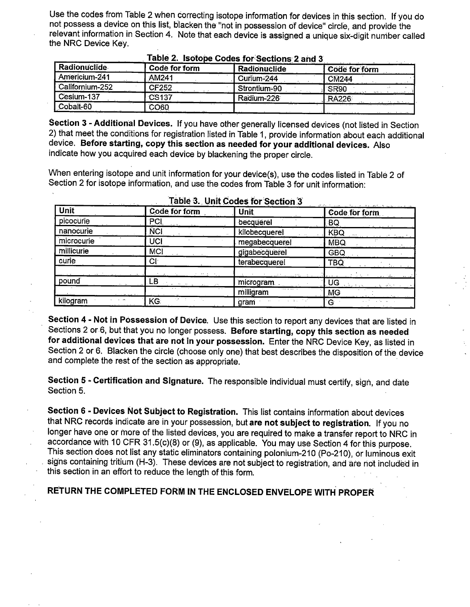Use the codes from Table 2 when correcting isotope information fot devices in this section. If you do not possess a device on this list, blacken the "not in possession of device" cirde, and provide the relevant information in Section 4. Note that each device is assigned a unique six-digit nuniber called the NRC Device Key.

| Radionuclide    | Code for form     | Radionuclide | Code for form |
|-----------------|-------------------|--------------|---------------|
| Americium-241   | AM241             | Curium-244   | <b>CM244</b>  |
| Californium-252 | <b>CF252</b>      | Strontium-90 | SR90          |
| Cesium-137      | CS <sub>137</sub> | Radium-226   | <b>RA226</b>  |
| Cobalt-60       | <b>CO60</b>       |              |               |

### **<u><b>z able 2.** Isotope Codes for Sections 2 and 3</u>

**Section 3 - Additional Devices.** If you have other generally licensed devices (not listed in Section 2) that meet the conditions for registration listed in Table 1, provide information about each additional device. **Before starting, copy this section as needed for your additional devices.** Also indicate how you acquired each device by blackening the proper circle.

When entering isotope and unit information for your device(s), use the codes listed in Table 2 of Section 2 for isotope information, and use the codes from Table 3 for unit information:

| The company of the company<br>Unit | <b>Code for form</b>  | -------<br>Unit | the second the subsequence of the<br>Code for form |
|------------------------------------|-----------------------|-----------------|----------------------------------------------------|
| picocurie                          | <b>PCI</b>            | becquerel       | BQ                                                 |
| nanocurie                          | <b>NCI</b>            | kilobecquerel   | <b>KBQ</b>                                         |
| microcurie                         | UCI                   | megabecquerel   | MBQ.                                               |
| millicurie                         | <b>MCI</b>            | gigabecquerel   | <b>GBQ</b>                                         |
| curie                              | Юŀ                    | terabecquerel   | TBQ                                                |
|                                    |                       |                 |                                                    |
| pound                              | LB                    | microgram       | UG                                                 |
|                                    |                       | .<br>milligram  | <b>MG</b>                                          |
| kilogram                           | <b>Similar</b><br>KG. | gram            | G                                                  |

**Table 3. Unit Codes for Section 3** 

**Section 4** - **Not in Possession of Device.** Use this section to report any devices that are listed in Sections 2 or.6, but that you no longer possess. **Before starting, copy this section as needed for additional devices that are not in your possession.** Enter the NRC Device Key, as listed in Section 2 or 6. Blacken the circle (choose only one) that best describes the disposition of the device and complete the rest of the section as appropriate.

Section 5 - Certification and Signature. The responsible individual must certify, sign, and date Section 5.

**Section 6** - **Devices Not Subject to Registration.** This list contains information about devices that NRC records indicate are in your possession, but **are not subject to registration.** If you no longer have one or more of the listed devices, you are required to make a transfer report to NRC in accordance with 10 CFR 31.5(c)(8) or (9), as applicable. You may use Section 4 for this purpose. This section does not list any static eliminators containing polonium-210 (Po-210), or luminous exit signs containing tritium (H-3). These devices are not subject to registration, and are not included in this section in an effort to reduce the length of this form.

**RE°TURN THE COMPLETED FORM IN THE ENCLOSED ENVELOPE WITH PROPER**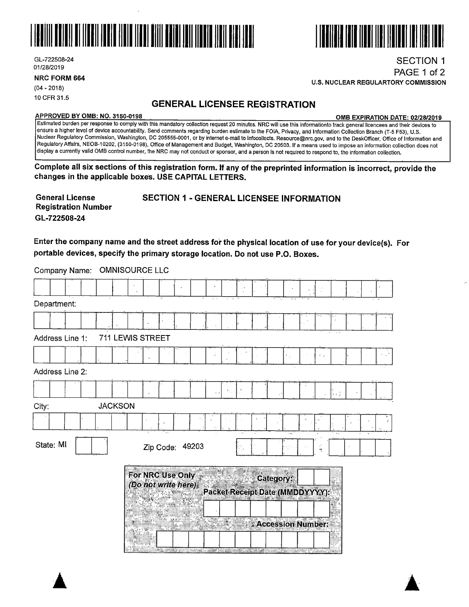



**NRC FORM 664** 

(04 - 2018) 10 CFR 31.5

# **GENERAL LICENSEE REGISTRATION**

#### **APPROVED BY 0MB: NO. 3150-0198 0MB EXPIRATION DATE: 02/28/2019**

Estimated burden per response to comply with this mandatory collection request 20 minutes. NRC will use this informationto track general licencees and their devices to ensure a higher level of device accountability. Send comments regarding burden estimate to the FOIA, Privacy, arid Information Collection Branch (T-5 F53), U.S. Nuclear Regulatory Commission, Washington, DC 205555-0001, or by internet e-mail to lnfocollects. Resource@nrc.gov, and to the DeskOfficer, Office of Information and Regulatory Affairs, NEOB-10202, (3150-0198), Office of Management and Budget, Washington, DC 20503. If a means used to impose an information collection does not display a currently valid 0MB control number, the NRC may not conduct or sponsor, and a person is not required to respond to, the information collection.

**Complete all six sections of this registration form. If any of the preprinted information is incorrect, provide the changes in the applicable boxes. USE CAPITAL LETTERS.** 

**General License Registration Number**  SECTION 1 - GENERAL LICENSEE INFORMATION **GL-722508-24** 

**Enter the company name and the street address for the physical location of use for your device(s). For portable devices, specify the primary storage location. Do not use P.O. Boxes.** 

Company Name: OMNISOURCE LLC

| Department:     |                |                  |                                         |    |    |    | $2 - 8$                                                                           |                                 |                          |  |
|-----------------|----------------|------------------|-----------------------------------------|----|----|----|-----------------------------------------------------------------------------------|---------------------------------|--------------------------|--|
|                 |                |                  |                                         |    |    |    |                                                                                   |                                 |                          |  |
| Address Line 1: |                | 711 LEWIS STREET |                                         |    |    |    |                                                                                   |                                 | $\overline{\phantom{a}}$ |  |
|                 |                |                  |                                         |    |    |    |                                                                                   |                                 |                          |  |
| Address Line 2: |                |                  |                                         |    |    |    |                                                                                   |                                 |                          |  |
|                 |                |                  |                                         |    | а, |    |                                                                                   |                                 |                          |  |
| City:           | <b>JACKSON</b> |                  |                                         |    |    |    |                                                                                   |                                 |                          |  |
|                 |                |                  |                                         |    |    |    |                                                                                   |                                 |                          |  |
| State: MI       |                |                  | Zip Code: 49203                         |    |    |    |                                                                                   |                                 |                          |  |
|                 |                |                  | For NRC Use Only<br>(Do not write here) | ×. |    | ٠ë | Category:                                                                         | Packet Receipt Date (MMDDYYYY): |                          |  |
|                 |                |                  |                                         |    |    |    | Andre Holland and Committee and State and State and State and State and State and | <b>Accession Number:</b>        |                          |  |





PAGE 1 of 2

**U.S. NUCLEAR REGULARTORY COMMISSION** 

111111111111111111 IIII IIIIIII Ill llll llll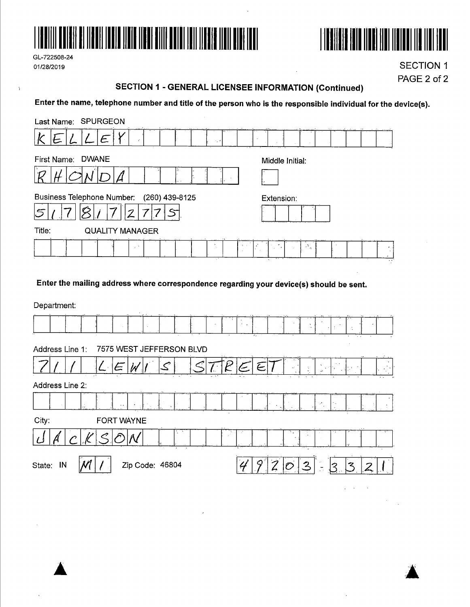

GL-722508-24 01/28/2019

 $\ddot{\phantom{a}}$ 



**SECTION 1** PAGE 2 of 2

## **SECTION 1 - GENERAL LICENSEE INFORMATION (Continued)**

Enter the name, telephone number and title of the person who is the responsible individual for the device(s).

| Last Name: SPURGEON                                                                                |                                                                                        |
|----------------------------------------------------------------------------------------------------|----------------------------------------------------------------------------------------|
| L<br>15, 4                                                                                         | and all automatics of the<br>$\alpha$                                                  |
| <b>DWANE</b><br>First Name:                                                                        | Middle Initial:                                                                        |
|                                                                                                    |                                                                                        |
| Business Telephone Number: (260) 439-8125<br>$\preccurlyeq$                                        | Extension:                                                                             |
| Title:<br><b>QUALITY MANAGER</b>                                                                   |                                                                                        |
| $\mathbf{r}$<br>$\mathcal{L}$<br>$\mathcal{D}=\mathcal{A}$<br>$\epsilon^{-1}$<br><b>COLL</b><br>×. | $\mathbf{v}^{\mathbf{R}}$ $_{\mathbf{q}}$<br>14<br>$\sim$<br>$\cdots$<br>$\sim$ $\sim$ |

Enter the mailing address where correspondence regarding your device(s) should be sent.

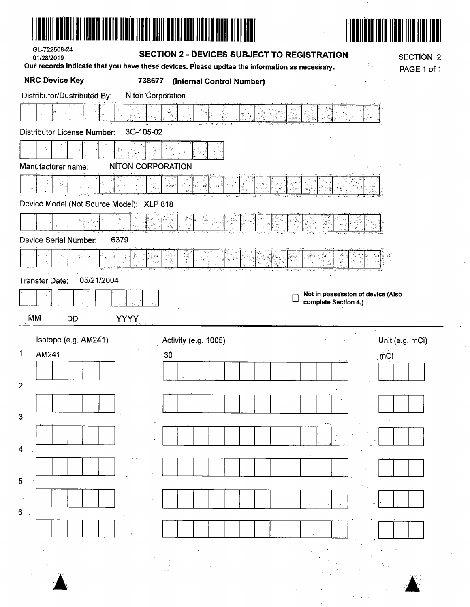| <b>SECTION 2 - DEVICES SUBJECT TO REGISTRATION</b><br><b>SECTION 2</b><br>01/28/2019<br>Our records indicate that you have these devices. Please updtae the information as necessary.<br>PAGE 1 of 1<br><b>NRC Device Key</b><br>738677<br>(Internal Control Number)<br>Distributor/Dustributed By:<br>Niton Corporation<br>À,<br>Š,<br>3G-105-02<br><b>Distributor License Number:</b><br><b>NITON CORPORATION</b><br>Manufacturer name:<br>$\geq \frac{3}{7} \frac{3}{8}$<br>Device Model (Not Source Model): XLP 818<br>ે, ફ<br>$\mathcal{S}$<br>्रद<br>÷.<br><b>Device Serial Number:</b><br>6379<br>惠<br>05/21/2004<br>Transfer Date:<br>Not in possession of device (Also<br>complete Section 4.)<br>ΜM<br><b>YYYY</b><br><b>DD</b> |  |
|-------------------------------------------------------------------------------------------------------------------------------------------------------------------------------------------------------------------------------------------------------------------------------------------------------------------------------------------------------------------------------------------------------------------------------------------------------------------------------------------------------------------------------------------------------------------------------------------------------------------------------------------------------------------------------------------------------------------------------------------|--|
|                                                                                                                                                                                                                                                                                                                                                                                                                                                                                                                                                                                                                                                                                                                                           |  |
|                                                                                                                                                                                                                                                                                                                                                                                                                                                                                                                                                                                                                                                                                                                                           |  |
|                                                                                                                                                                                                                                                                                                                                                                                                                                                                                                                                                                                                                                                                                                                                           |  |
|                                                                                                                                                                                                                                                                                                                                                                                                                                                                                                                                                                                                                                                                                                                                           |  |
|                                                                                                                                                                                                                                                                                                                                                                                                                                                                                                                                                                                                                                                                                                                                           |  |
|                                                                                                                                                                                                                                                                                                                                                                                                                                                                                                                                                                                                                                                                                                                                           |  |
|                                                                                                                                                                                                                                                                                                                                                                                                                                                                                                                                                                                                                                                                                                                                           |  |
|                                                                                                                                                                                                                                                                                                                                                                                                                                                                                                                                                                                                                                                                                                                                           |  |
|                                                                                                                                                                                                                                                                                                                                                                                                                                                                                                                                                                                                                                                                                                                                           |  |
|                                                                                                                                                                                                                                                                                                                                                                                                                                                                                                                                                                                                                                                                                                                                           |  |
|                                                                                                                                                                                                                                                                                                                                                                                                                                                                                                                                                                                                                                                                                                                                           |  |
|                                                                                                                                                                                                                                                                                                                                                                                                                                                                                                                                                                                                                                                                                                                                           |  |
|                                                                                                                                                                                                                                                                                                                                                                                                                                                                                                                                                                                                                                                                                                                                           |  |
|                                                                                                                                                                                                                                                                                                                                                                                                                                                                                                                                                                                                                                                                                                                                           |  |
|                                                                                                                                                                                                                                                                                                                                                                                                                                                                                                                                                                                                                                                                                                                                           |  |
|                                                                                                                                                                                                                                                                                                                                                                                                                                                                                                                                                                                                                                                                                                                                           |  |
| Isotope (e.g. AM241)<br>Unit (e.g. mCi)<br>Activity (e.g. 1005)<br>mČi<br>AM241<br>1.<br>30 <sub>o</sub>                                                                                                                                                                                                                                                                                                                                                                                                                                                                                                                                                                                                                                  |  |
|                                                                                                                                                                                                                                                                                                                                                                                                                                                                                                                                                                                                                                                                                                                                           |  |
| $\overline{2}$                                                                                                                                                                                                                                                                                                                                                                                                                                                                                                                                                                                                                                                                                                                            |  |
|                                                                                                                                                                                                                                                                                                                                                                                                                                                                                                                                                                                                                                                                                                                                           |  |
| 3                                                                                                                                                                                                                                                                                                                                                                                                                                                                                                                                                                                                                                                                                                                                         |  |
|                                                                                                                                                                                                                                                                                                                                                                                                                                                                                                                                                                                                                                                                                                                                           |  |
| 4                                                                                                                                                                                                                                                                                                                                                                                                                                                                                                                                                                                                                                                                                                                                         |  |
|                                                                                                                                                                                                                                                                                                                                                                                                                                                                                                                                                                                                                                                                                                                                           |  |
| 5                                                                                                                                                                                                                                                                                                                                                                                                                                                                                                                                                                                                                                                                                                                                         |  |
|                                                                                                                                                                                                                                                                                                                                                                                                                                                                                                                                                                                                                                                                                                                                           |  |
| 6                                                                                                                                                                                                                                                                                                                                                                                                                                                                                                                                                                                                                                                                                                                                         |  |
|                                                                                                                                                                                                                                                                                                                                                                                                                                                                                                                                                                                                                                                                                                                                           |  |
|                                                                                                                                                                                                                                                                                                                                                                                                                                                                                                                                                                                                                                                                                                                                           |  |
|                                                                                                                                                                                                                                                                                                                                                                                                                                                                                                                                                                                                                                                                                                                                           |  |
|                                                                                                                                                                                                                                                                                                                                                                                                                                                                                                                                                                                                                                                                                                                                           |  |

 $\frac{1}{2}$ 

 $\frac{1}{2} \frac{1}{2} \frac{1}{2}$ 

 $\mathcal{F}_{\mathcal{G}}$ 

 $\mathcal{A}^{\text{max}}_{\text{max}}$ 

 $\mathcal{A}_{\mathcal{A}}$ 

 $\frac{1}{2}$ 

 $\begin{array}{c} \n\ddots \\
\hline\n\end{array}$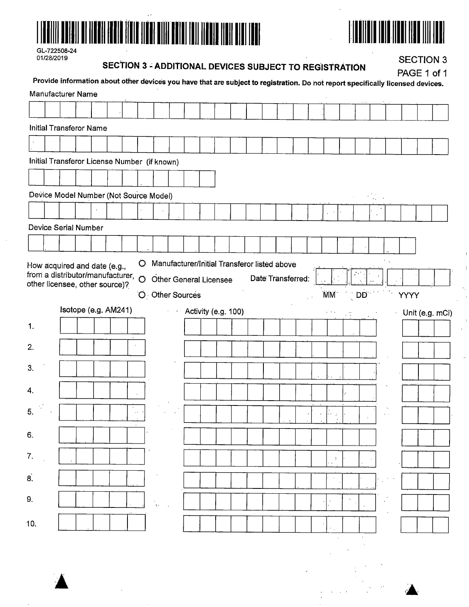



| GL-722508-24 |
|--------------|
| 01/28/2019   |

# SECTION 3 - ADDITIONAL DEVICES SUBJECT TO REGISTRATION

**SECTION 3** 

|                                                           | <b>Manufacturer Name</b>                                                    |                      |  |           |   |                                               |                                              |                     |  |                   | Provide information about other devices you have that are subject to registration. Do not report specifically licensed devices. |                 |                        |                              |      |                |
|-----------------------------------------------------------|-----------------------------------------------------------------------------|----------------------|--|-----------|---|-----------------------------------------------|----------------------------------------------|---------------------|--|-------------------|---------------------------------------------------------------------------------------------------------------------------------|-----------------|------------------------|------------------------------|------|----------------|
|                                                           |                                                                             |                      |  |           |   |                                               |                                              |                     |  |                   |                                                                                                                                 |                 |                        |                              |      |                |
|                                                           | <b>Initial Transferor Name</b>                                              |                      |  |           |   |                                               |                                              |                     |  |                   |                                                                                                                                 |                 |                        |                              |      |                |
|                                                           |                                                                             |                      |  |           |   |                                               |                                              |                     |  |                   |                                                                                                                                 |                 |                        |                              |      |                |
|                                                           | Initial Transferor License Number (if known)                                |                      |  |           |   |                                               |                                              |                     |  |                   |                                                                                                                                 |                 |                        |                              |      |                |
|                                                           |                                                                             |                      |  |           |   |                                               |                                              |                     |  |                   |                                                                                                                                 |                 |                        |                              |      |                |
|                                                           | Device Model Number (Not Source Model)                                      |                      |  |           |   |                                               |                                              |                     |  |                   |                                                                                                                                 |                 |                        | $\mathcal{F}(\mathcal{A})$ . |      |                |
|                                                           |                                                                             |                      |  |           |   |                                               |                                              |                     |  |                   |                                                                                                                                 |                 |                        |                              |      |                |
|                                                           | Device Serial Number                                                        |                      |  |           |   |                                               |                                              |                     |  |                   |                                                                                                                                 |                 |                        |                              |      |                |
|                                                           |                                                                             |                      |  |           |   |                                               |                                              |                     |  |                   |                                                                                                                                 |                 |                        |                              |      |                |
|                                                           | How acquired and date (e.g.,<br>from a distributor/manufacturer, $\bigcirc$ |                      |  |           | O |                                               | Manufacturer/Initial Transferor listed above |                     |  |                   |                                                                                                                                 |                 |                        |                              |      |                |
|                                                           | other licensee, other source)?                                              |                      |  |           |   |                                               | <b>Other General Licensee</b>                |                     |  | Date Transferred: |                                                                                                                                 |                 |                        |                              |      |                |
|                                                           |                                                                             |                      |  |           |   |                                               |                                              |                     |  |                   |                                                                                                                                 |                 |                        |                              |      |                |
|                                                           |                                                                             |                      |  |           |   |                                               | O Other Sources                              |                     |  |                   |                                                                                                                                 | MM <sup>-</sup> | $\langle$ DD $\rangle$ |                              | YÝÝY |                |
|                                                           |                                                                             | Isotope (e.g. AM241) |  |           |   |                                               |                                              | Activity (e.g. 100) |  |                   |                                                                                                                                 |                 |                        |                              |      | Unit (e.g. mCi |
|                                                           |                                                                             |                      |  |           |   |                                               |                                              |                     |  |                   |                                                                                                                                 |                 |                        |                              |      |                |
|                                                           |                                                                             |                      |  |           |   |                                               |                                              |                     |  |                   |                                                                                                                                 |                 |                        |                              |      |                |
|                                                           |                                                                             |                      |  |           |   |                                               |                                              |                     |  |                   |                                                                                                                                 |                 |                        |                              |      |                |
|                                                           |                                                                             |                      |  |           |   |                                               |                                              |                     |  |                   |                                                                                                                                 |                 |                        |                              |      |                |
|                                                           |                                                                             |                      |  | $\ddotsc$ |   |                                               |                                              |                     |  |                   |                                                                                                                                 |                 |                        |                              |      |                |
|                                                           |                                                                             |                      |  |           |   |                                               |                                              |                     |  |                   |                                                                                                                                 |                 |                        |                              |      |                |
|                                                           |                                                                             |                      |  |           |   |                                               |                                              |                     |  |                   |                                                                                                                                 |                 |                        |                              |      |                |
|                                                           |                                                                             |                      |  |           |   |                                               |                                              |                     |  |                   |                                                                                                                                 | - 11            |                        |                              |      |                |
|                                                           |                                                                             |                      |  |           |   |                                               |                                              |                     |  |                   |                                                                                                                                 |                 |                        |                              |      |                |
|                                                           |                                                                             |                      |  |           |   | $\Lambda^{\rm (a)}$ , and $\Lambda^{\rm (a)}$ |                                              |                     |  |                   |                                                                                                                                 |                 |                        |                              |      |                |
| 1.<br>2.<br>3.<br>4.<br>5.<br>6.<br>7.<br>8.<br>9.<br>10. |                                                                             |                      |  |           |   |                                               |                                              |                     |  |                   |                                                                                                                                 |                 |                        |                              |      |                |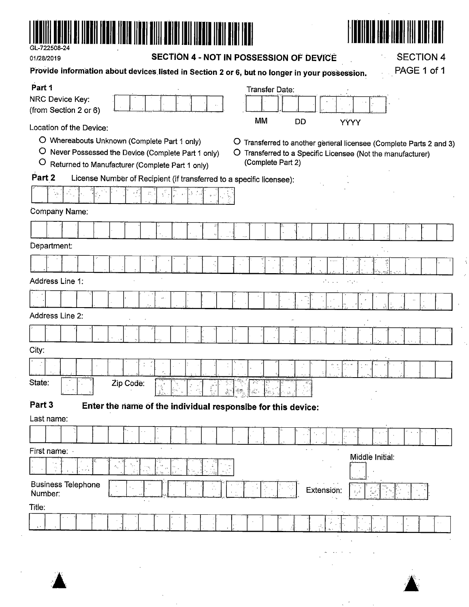

 $\bar{\beta}$ 

 $\epsilon_{\rm{in}}$ 

01/28/2019

SECTION 4 - NOT IN POSSESSION OF DEVICE

**SECTION 4** 

Å  $\hat{\mathcal{L}}$ 

| Provide information about devices listed in Section 2 or 6, but no longer in your possession.                                                                        | PAGE 1 of 1                                                                                                                                            |
|----------------------------------------------------------------------------------------------------------------------------------------------------------------------|--------------------------------------------------------------------------------------------------------------------------------------------------------|
| Part 1                                                                                                                                                               | Transfer Date:                                                                                                                                         |
| NRC Device Key:<br>(from Section 2 or 6)                                                                                                                             |                                                                                                                                                        |
| Location of the Device:                                                                                                                                              | <b>MM</b><br><b>DD</b><br>YÝÝY                                                                                                                         |
| O Whereabouts Unknown (Complete Part 1 only)<br>O<br>Never Possessed the Device (Complete Part 1 only)<br>$\circ$<br>Returned to Manufacturer (Complete Part 1 only) | O Transferred to another general licensee (Complete Parts 2 and 3)<br>O Transferred to a Specific Licensee (Not the manufacturer)<br>(Complete Part 2) |
| Part 2<br>License Number of Recipient (if transferred to a specific licensee):                                                                                       |                                                                                                                                                        |
|                                                                                                                                                                      |                                                                                                                                                        |
| Company Name:                                                                                                                                                        |                                                                                                                                                        |
|                                                                                                                                                                      |                                                                                                                                                        |
| Department:                                                                                                                                                          |                                                                                                                                                        |
|                                                                                                                                                                      |                                                                                                                                                        |
| Address Line 1:                                                                                                                                                      | As a s<br>$\mathcal{F}^{\mathcal{F}}$ , $\mathcal{F}^{\mathcal{F}}$ ,                                                                                  |
|                                                                                                                                                                      |                                                                                                                                                        |
| Address Line 2:                                                                                                                                                      |                                                                                                                                                        |
|                                                                                                                                                                      |                                                                                                                                                        |
| City:                                                                                                                                                                |                                                                                                                                                        |
|                                                                                                                                                                      |                                                                                                                                                        |
| State:<br>Zip Code:                                                                                                                                                  |                                                                                                                                                        |
| Part <sub>3</sub><br>Enter the name of the individual responsibe for this device:                                                                                    |                                                                                                                                                        |
| Last name:                                                                                                                                                           |                                                                                                                                                        |
|                                                                                                                                                                      |                                                                                                                                                        |
| First name:                                                                                                                                                          | Middle Initial:                                                                                                                                        |
|                                                                                                                                                                      |                                                                                                                                                        |
| <b>Business Telephone</b><br>Number:                                                                                                                                 | Extension:<br>$\mathcal{E}_\lambda \mathcal{Z}$                                                                                                        |
| Title:                                                                                                                                                               |                                                                                                                                                        |
|                                                                                                                                                                      | $\mathcal{P}$<br>$\cdot$<br>ă,                                                                                                                         |
|                                                                                                                                                                      |                                                                                                                                                        |
|                                                                                                                                                                      |                                                                                                                                                        |



 $\mathcal{L}^{(1)}$  and  $\mathcal{L}^{(2)}$  . The  $\mathcal{L}^{(1)}$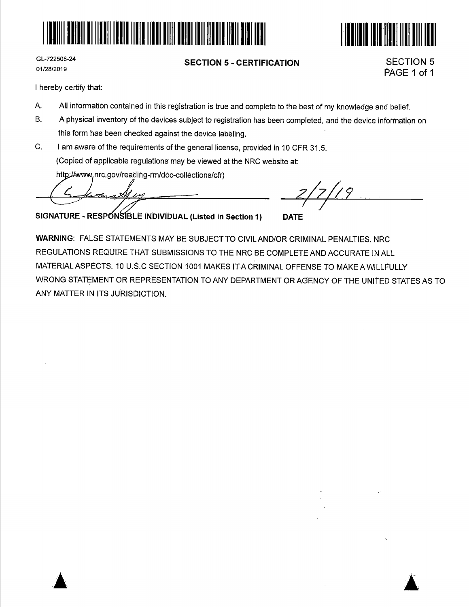



GL-722508-24 01/28/2019

## **SECTION 5 - CERTIFICATION**

SECTION 5 PAGE 1 of 1

I hereby certify that:

- A. All information contained in this registration is true and complete to the best of my knowledge and belief.
- B. A physical inventory of the devices subject to registration has been completed, and the device information on this form has been checked against the device labeling.
- C. I am aware of the requirements of the general license, provided in 10 CFR 31.5. (Copied of applicable regulations may be viewed at the NRC website at:

http://www.nrc.gov/reading-rm/doc-collections/cfr)

سأتهز

**IBLE INDIVIDUAL (Listed in Section 1) DATE** 

**WARNING:** FALSE STATEMENTS MAY BE SUBJECT TO CIVILAND/OR CRIMINAL PENALTIES. NRC REGULATIONS REQUIRE THAT SUBMISSIONS TO THE NRC BE COMPLETE AND ACCURATE IN ALL MATERIAL ASPECTS. 10 U.S.C SECTION 1001 MAKES ITACRIMINAL OFFENSE TO MAKE A WILLFULLY WRONG STATEMENT OR REPRESENTATION TO ANY DEPARTMENT OR AGENCY OF THE UNITED STATES AS TO ANY MATTER IN ITS JURISDICTION.